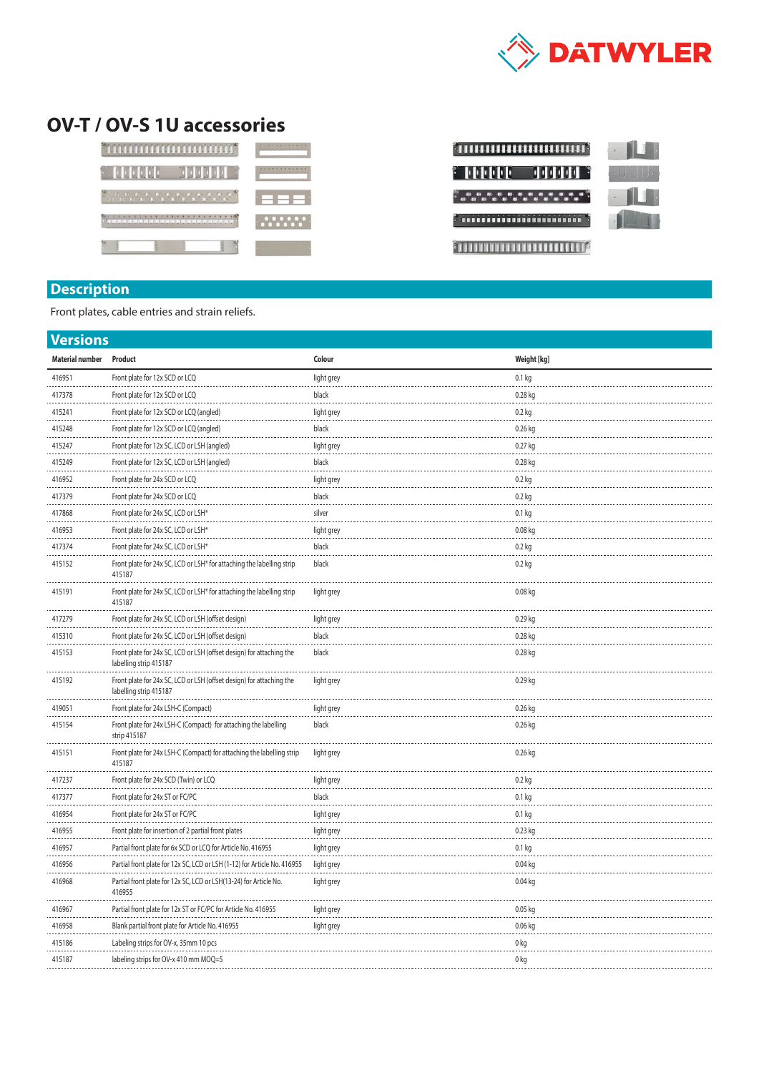

## **OV-T / OV-S 1U accessories**

| ililililililililililili                 |   |          |
|-----------------------------------------|---|----------|
| $\mathbb{F}$ is the set of $\mathbb{F}$ |   |          |
|                                         |   |          |
|                                         | ÷ | <u>.</u> |
|                                         | I |          |

| ំណោយអោយឈាច               |  |
|--------------------------|--|
| <b>ENGLISHED BULGARY</b> |  |
| n a ann an t-ann an t-an |  |
|                          |  |
|                          |  |

## **Description**

Front plates, cable entries and strain reliefs.

| Product<br>Colour<br>Weight [kg]<br>Material number<br>416951<br>Front plate for 12x SCD or LCQ<br>0.1 <sub>kg</sub><br>light grey<br>417378<br>Front plate for 12x SCD or LCQ<br>black<br>$0.28$ kg<br>415241<br>Front plate for 12x SCD or LCQ (angled)<br>$0.2$ kg<br>light grey<br>415248<br>black<br>0.26 kg<br>Front plate for 12x SCD or LCQ (angled)<br>415247<br>Front plate for 12x SC, LCD or LSH (angled)<br>0.27 kg<br>light grey<br>415249<br>Front plate for 12x SC, LCD or LSH (angled)<br>black<br>0.28 kg<br>416952<br>Front plate for 24x SCD or LCQ<br>light grey<br>0.2 kg<br>417379<br>Front plate for 24x SCD or LCQ<br>black<br>$0.2$ kg<br>417868<br>0.1 <sub>kg</sub><br>Front plate for 24x SC, LCD or LSH*<br>silver<br>0.08 kg<br>416953<br>Front plate for 24x SC, LCD or LSH*<br>light grey<br>417374<br>black<br>0.2 kg<br>Front plate for 24x SC, LCD or LSH*<br>415152<br>Front plate for 24x SC, LCD or LSH* for attaching the labelling strip<br>black<br>0.2 kg<br>415187<br>415191<br>Front plate for 24x SC, LCD or LSH* for attaching the labelling strip<br>$0.08$ kg<br>light grey<br>415187<br>417279<br>Front plate for 24x SC, LCD or LSH (offset design)<br>$0.29$ kg<br>light grey<br>Front plate for 24x SC, LCD or LSH (offset design)<br>415310<br>black<br>$0.28$ kg<br>415153<br>Front plate for 24x SC, LCD or LSH (offset design) for attaching the<br>0.28 kg<br>black<br>labelling strip 415187<br>415192<br>0.29 kg<br>Front plate for 24x SC, LCD or LSH (offset design) for attaching the<br>light grey<br>labelling strip 415187<br>419051<br>0.26 kg<br>Front plate for 24x LSH-C (Compact)<br>light grey<br>415154<br>Front plate for 24x LSH-C (Compact) for attaching the labelling<br>black<br>$0.26$ kg<br>strip 415187<br>415151<br>Front plate for 24x LSH-C (Compact) for attaching the labelling strip<br>light grey<br>0.26 kg<br>415187<br>417237<br>Front plate for 24x SCD (Twin) or LCQ<br>light grey<br>$0.2$ kg<br>black<br>417377<br>Front plate for 24x ST or FC/PC<br>0.1 <sub>kg</sub><br>416954<br>Front plate for 24x ST or FC/PC<br>0.1 <sub>kg</sub><br>light grey<br>416955<br>0.23 kg<br>Front plate for insertion of 2 partial front plates<br>light grey<br>416957<br>Partial front plate for 6x SCD or LCQ for Article No. 416955<br>0.1 <sub>kg</sub><br>light grey | <b>Versions</b> |  |  |  |  |
|----------------------------------------------------------------------------------------------------------------------------------------------------------------------------------------------------------------------------------------------------------------------------------------------------------------------------------------------------------------------------------------------------------------------------------------------------------------------------------------------------------------------------------------------------------------------------------------------------------------------------------------------------------------------------------------------------------------------------------------------------------------------------------------------------------------------------------------------------------------------------------------------------------------------------------------------------------------------------------------------------------------------------------------------------------------------------------------------------------------------------------------------------------------------------------------------------------------------------------------------------------------------------------------------------------------------------------------------------------------------------------------------------------------------------------------------------------------------------------------------------------------------------------------------------------------------------------------------------------------------------------------------------------------------------------------------------------------------------------------------------------------------------------------------------------------------------------------------------------------------------------------------------------------------------------------------------------------------------------------------------------------------------------------------------------------------------------------------------------------------------------------------------------------------------------------------------------------------------------------------------------------------------------------------------------------------------------------------------------------|-----------------|--|--|--|--|
|                                                                                                                                                                                                                                                                                                                                                                                                                                                                                                                                                                                                                                                                                                                                                                                                                                                                                                                                                                                                                                                                                                                                                                                                                                                                                                                                                                                                                                                                                                                                                                                                                                                                                                                                                                                                                                                                                                                                                                                                                                                                                                                                                                                                                                                                                                                                                                |                 |  |  |  |  |
|                                                                                                                                                                                                                                                                                                                                                                                                                                                                                                                                                                                                                                                                                                                                                                                                                                                                                                                                                                                                                                                                                                                                                                                                                                                                                                                                                                                                                                                                                                                                                                                                                                                                                                                                                                                                                                                                                                                                                                                                                                                                                                                                                                                                                                                                                                                                                                |                 |  |  |  |  |
|                                                                                                                                                                                                                                                                                                                                                                                                                                                                                                                                                                                                                                                                                                                                                                                                                                                                                                                                                                                                                                                                                                                                                                                                                                                                                                                                                                                                                                                                                                                                                                                                                                                                                                                                                                                                                                                                                                                                                                                                                                                                                                                                                                                                                                                                                                                                                                |                 |  |  |  |  |
|                                                                                                                                                                                                                                                                                                                                                                                                                                                                                                                                                                                                                                                                                                                                                                                                                                                                                                                                                                                                                                                                                                                                                                                                                                                                                                                                                                                                                                                                                                                                                                                                                                                                                                                                                                                                                                                                                                                                                                                                                                                                                                                                                                                                                                                                                                                                                                |                 |  |  |  |  |
|                                                                                                                                                                                                                                                                                                                                                                                                                                                                                                                                                                                                                                                                                                                                                                                                                                                                                                                                                                                                                                                                                                                                                                                                                                                                                                                                                                                                                                                                                                                                                                                                                                                                                                                                                                                                                                                                                                                                                                                                                                                                                                                                                                                                                                                                                                                                                                |                 |  |  |  |  |
|                                                                                                                                                                                                                                                                                                                                                                                                                                                                                                                                                                                                                                                                                                                                                                                                                                                                                                                                                                                                                                                                                                                                                                                                                                                                                                                                                                                                                                                                                                                                                                                                                                                                                                                                                                                                                                                                                                                                                                                                                                                                                                                                                                                                                                                                                                                                                                |                 |  |  |  |  |
|                                                                                                                                                                                                                                                                                                                                                                                                                                                                                                                                                                                                                                                                                                                                                                                                                                                                                                                                                                                                                                                                                                                                                                                                                                                                                                                                                                                                                                                                                                                                                                                                                                                                                                                                                                                                                                                                                                                                                                                                                                                                                                                                                                                                                                                                                                                                                                |                 |  |  |  |  |
|                                                                                                                                                                                                                                                                                                                                                                                                                                                                                                                                                                                                                                                                                                                                                                                                                                                                                                                                                                                                                                                                                                                                                                                                                                                                                                                                                                                                                                                                                                                                                                                                                                                                                                                                                                                                                                                                                                                                                                                                                                                                                                                                                                                                                                                                                                                                                                |                 |  |  |  |  |
|                                                                                                                                                                                                                                                                                                                                                                                                                                                                                                                                                                                                                                                                                                                                                                                                                                                                                                                                                                                                                                                                                                                                                                                                                                                                                                                                                                                                                                                                                                                                                                                                                                                                                                                                                                                                                                                                                                                                                                                                                                                                                                                                                                                                                                                                                                                                                                |                 |  |  |  |  |
|                                                                                                                                                                                                                                                                                                                                                                                                                                                                                                                                                                                                                                                                                                                                                                                                                                                                                                                                                                                                                                                                                                                                                                                                                                                                                                                                                                                                                                                                                                                                                                                                                                                                                                                                                                                                                                                                                                                                                                                                                                                                                                                                                                                                                                                                                                                                                                |                 |  |  |  |  |
|                                                                                                                                                                                                                                                                                                                                                                                                                                                                                                                                                                                                                                                                                                                                                                                                                                                                                                                                                                                                                                                                                                                                                                                                                                                                                                                                                                                                                                                                                                                                                                                                                                                                                                                                                                                                                                                                                                                                                                                                                                                                                                                                                                                                                                                                                                                                                                |                 |  |  |  |  |
|                                                                                                                                                                                                                                                                                                                                                                                                                                                                                                                                                                                                                                                                                                                                                                                                                                                                                                                                                                                                                                                                                                                                                                                                                                                                                                                                                                                                                                                                                                                                                                                                                                                                                                                                                                                                                                                                                                                                                                                                                                                                                                                                                                                                                                                                                                                                                                |                 |  |  |  |  |
|                                                                                                                                                                                                                                                                                                                                                                                                                                                                                                                                                                                                                                                                                                                                                                                                                                                                                                                                                                                                                                                                                                                                                                                                                                                                                                                                                                                                                                                                                                                                                                                                                                                                                                                                                                                                                                                                                                                                                                                                                                                                                                                                                                                                                                                                                                                                                                |                 |  |  |  |  |
|                                                                                                                                                                                                                                                                                                                                                                                                                                                                                                                                                                                                                                                                                                                                                                                                                                                                                                                                                                                                                                                                                                                                                                                                                                                                                                                                                                                                                                                                                                                                                                                                                                                                                                                                                                                                                                                                                                                                                                                                                                                                                                                                                                                                                                                                                                                                                                |                 |  |  |  |  |
|                                                                                                                                                                                                                                                                                                                                                                                                                                                                                                                                                                                                                                                                                                                                                                                                                                                                                                                                                                                                                                                                                                                                                                                                                                                                                                                                                                                                                                                                                                                                                                                                                                                                                                                                                                                                                                                                                                                                                                                                                                                                                                                                                                                                                                                                                                                                                                |                 |  |  |  |  |
|                                                                                                                                                                                                                                                                                                                                                                                                                                                                                                                                                                                                                                                                                                                                                                                                                                                                                                                                                                                                                                                                                                                                                                                                                                                                                                                                                                                                                                                                                                                                                                                                                                                                                                                                                                                                                                                                                                                                                                                                                                                                                                                                                                                                                                                                                                                                                                |                 |  |  |  |  |
|                                                                                                                                                                                                                                                                                                                                                                                                                                                                                                                                                                                                                                                                                                                                                                                                                                                                                                                                                                                                                                                                                                                                                                                                                                                                                                                                                                                                                                                                                                                                                                                                                                                                                                                                                                                                                                                                                                                                                                                                                                                                                                                                                                                                                                                                                                                                                                |                 |  |  |  |  |
|                                                                                                                                                                                                                                                                                                                                                                                                                                                                                                                                                                                                                                                                                                                                                                                                                                                                                                                                                                                                                                                                                                                                                                                                                                                                                                                                                                                                                                                                                                                                                                                                                                                                                                                                                                                                                                                                                                                                                                                                                                                                                                                                                                                                                                                                                                                                                                |                 |  |  |  |  |
|                                                                                                                                                                                                                                                                                                                                                                                                                                                                                                                                                                                                                                                                                                                                                                                                                                                                                                                                                                                                                                                                                                                                                                                                                                                                                                                                                                                                                                                                                                                                                                                                                                                                                                                                                                                                                                                                                                                                                                                                                                                                                                                                                                                                                                                                                                                                                                |                 |  |  |  |  |
|                                                                                                                                                                                                                                                                                                                                                                                                                                                                                                                                                                                                                                                                                                                                                                                                                                                                                                                                                                                                                                                                                                                                                                                                                                                                                                                                                                                                                                                                                                                                                                                                                                                                                                                                                                                                                                                                                                                                                                                                                                                                                                                                                                                                                                                                                                                                                                |                 |  |  |  |  |
|                                                                                                                                                                                                                                                                                                                                                                                                                                                                                                                                                                                                                                                                                                                                                                                                                                                                                                                                                                                                                                                                                                                                                                                                                                                                                                                                                                                                                                                                                                                                                                                                                                                                                                                                                                                                                                                                                                                                                                                                                                                                                                                                                                                                                                                                                                                                                                |                 |  |  |  |  |
|                                                                                                                                                                                                                                                                                                                                                                                                                                                                                                                                                                                                                                                                                                                                                                                                                                                                                                                                                                                                                                                                                                                                                                                                                                                                                                                                                                                                                                                                                                                                                                                                                                                                                                                                                                                                                                                                                                                                                                                                                                                                                                                                                                                                                                                                                                                                                                |                 |  |  |  |  |
|                                                                                                                                                                                                                                                                                                                                                                                                                                                                                                                                                                                                                                                                                                                                                                                                                                                                                                                                                                                                                                                                                                                                                                                                                                                                                                                                                                                                                                                                                                                                                                                                                                                                                                                                                                                                                                                                                                                                                                                                                                                                                                                                                                                                                                                                                                                                                                |                 |  |  |  |  |
|                                                                                                                                                                                                                                                                                                                                                                                                                                                                                                                                                                                                                                                                                                                                                                                                                                                                                                                                                                                                                                                                                                                                                                                                                                                                                                                                                                                                                                                                                                                                                                                                                                                                                                                                                                                                                                                                                                                                                                                                                                                                                                                                                                                                                                                                                                                                                                |                 |  |  |  |  |
|                                                                                                                                                                                                                                                                                                                                                                                                                                                                                                                                                                                                                                                                                                                                                                                                                                                                                                                                                                                                                                                                                                                                                                                                                                                                                                                                                                                                                                                                                                                                                                                                                                                                                                                                                                                                                                                                                                                                                                                                                                                                                                                                                                                                                                                                                                                                                                |                 |  |  |  |  |
|                                                                                                                                                                                                                                                                                                                                                                                                                                                                                                                                                                                                                                                                                                                                                                                                                                                                                                                                                                                                                                                                                                                                                                                                                                                                                                                                                                                                                                                                                                                                                                                                                                                                                                                                                                                                                                                                                                                                                                                                                                                                                                                                                                                                                                                                                                                                                                |                 |  |  |  |  |
| 416956<br>Partial front plate for 12x SC, LCD or LSH (1-12) for Article No. 416955<br>0.04 kg<br>light grey                                                                                                                                                                                                                                                                                                                                                                                                                                                                                                                                                                                                                                                                                                                                                                                                                                                                                                                                                                                                                                                                                                                                                                                                                                                                                                                                                                                                                                                                                                                                                                                                                                                                                                                                                                                                                                                                                                                                                                                                                                                                                                                                                                                                                                                    |                 |  |  |  |  |
| 416968<br>0.04 kg<br>Partial front plate for 12x SC, LCD or LSH(13-24) for Article No.<br>light grey<br>416955                                                                                                                                                                                                                                                                                                                                                                                                                                                                                                                                                                                                                                                                                                                                                                                                                                                                                                                                                                                                                                                                                                                                                                                                                                                                                                                                                                                                                                                                                                                                                                                                                                                                                                                                                                                                                                                                                                                                                                                                                                                                                                                                                                                                                                                 |                 |  |  |  |  |
| Partial front plate for 12x ST or FC/PC for Article No. 416955<br>0.05 kg<br>416967<br>light grey                                                                                                                                                                                                                                                                                                                                                                                                                                                                                                                                                                                                                                                                                                                                                                                                                                                                                                                                                                                                                                                                                                                                                                                                                                                                                                                                                                                                                                                                                                                                                                                                                                                                                                                                                                                                                                                                                                                                                                                                                                                                                                                                                                                                                                                              |                 |  |  |  |  |
| 416958<br>Blank partial front plate for Article No. 416955<br>$0.06$ kg<br>light grey                                                                                                                                                                                                                                                                                                                                                                                                                                                                                                                                                                                                                                                                                                                                                                                                                                                                                                                                                                                                                                                                                                                                                                                                                                                                                                                                                                                                                                                                                                                                                                                                                                                                                                                                                                                                                                                                                                                                                                                                                                                                                                                                                                                                                                                                          |                 |  |  |  |  |
| 415186<br>Labeling strips for OV-x, 35mm 10 pcs<br>0 kg                                                                                                                                                                                                                                                                                                                                                                                                                                                                                                                                                                                                                                                                                                                                                                                                                                                                                                                                                                                                                                                                                                                                                                                                                                                                                                                                                                                                                                                                                                                                                                                                                                                                                                                                                                                                                                                                                                                                                                                                                                                                                                                                                                                                                                                                                                        |                 |  |  |  |  |
| 415187<br>labeling strips for OV-x 410 mm MOQ=5<br>0 kg                                                                                                                                                                                                                                                                                                                                                                                                                                                                                                                                                                                                                                                                                                                                                                                                                                                                                                                                                                                                                                                                                                                                                                                                                                                                                                                                                                                                                                                                                                                                                                                                                                                                                                                                                                                                                                                                                                                                                                                                                                                                                                                                                                                                                                                                                                        |                 |  |  |  |  |